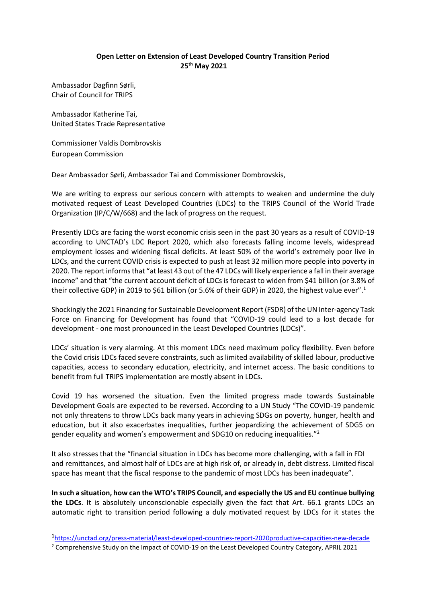## **Open Letter on Extension of Least Developed Country Transition Period 25 th May 2021**

Ambassador Dagfinn Sørli, Chair of Council for TRIPS

Ambassador Katherine Tai, United States Trade Representative

Commissioner Valdis Dombrovskis European Commission

Dear Ambassador Sørli, Ambassador Tai and Commissioner Dombrovskis,

We are writing to express our serious concern with attempts to weaken and undermine the duly motivated request of Least Developed Countries (LDCs) to the TRIPS Council of the World Trade Organization (IP/C/W/668) and the lack of progress on the request.

Presently LDCs are facing the worst economic crisis seen in the past 30 years as a result of COVID-19 according to UNCTAD's LDC Report 2020, which also forecasts falling income levels, widespread employment losses and widening fiscal deficits. At least 50% of the world's extremely poor live in LDCs, and the current COVID crisis is expected to push at least 32 million more people into poverty in 2020. The report informs that "at least 43 out of the 47 LDCs will likely experience a fall in their average income" and that "the current account deficit of LDCs is forecast to widen from \$41 billion (or 3.8% of their collective GDP) in 2019 to \$61 billion (or 5.6% of their GDP) in 2020, the highest value ever".<sup>1</sup>

Shockingly the 2021 Financing for Sustainable Development Report (FSDR) of the UN Inter-agency Task Force on Financing for Development has found that "COVID-19 could lead to a lost decade for development - one most pronounced in the Least Developed Countries (LDCs)".

LDCs' situation is very alarming. At this moment LDCs need maximum policy flexibility. Even before the Covid crisis LDCs faced severe constraints, such as limited availability of skilled labour, productive capacities, access to secondary education, electricity, and internet access. The basic conditions to benefit from full TRIPS implementation are mostly absent in LDCs.

Covid 19 has worsened the situation. Even the limited progress made towards Sustainable Development Goals are expected to be reversed. According to a UN Study "The COVID-19 pandemic not only threatens to throw LDCs back many years in achieving SDGs on poverty, hunger, health and education, but it also exacerbates inequalities, further jeopardizing the achievement of SDG5 on gender equality and women's empowerment and SDG10 on reducing inequalities."<sup>2</sup>

It also stresses that the "financial situation in LDCs has become more challenging, with a fall in FDI and remittances, and almost half of LDCs are at high risk of, or already in, debt distress. Limited fiscal space has meant that the fiscal response to the pandemic of most LDCs has been inadequate".

**In such a situation, how can the WTO's TRIPS Council, and especially the US and EU continue bullying the LDCs**. It is absolutely unconscionable especially given the fact that Art. 66.1 grants LDCs an automatic right to transition period following a duly motivated request by LDCs for it states the

<sup>1</sup> <https://unctad.org/press-material/least-developed-countries-report-2020productive-capacities-new-decade>

<sup>&</sup>lt;sup>2</sup> Comprehensive Study on the Impact of COVID-19 on the Least Developed Country Category, APRIL 2021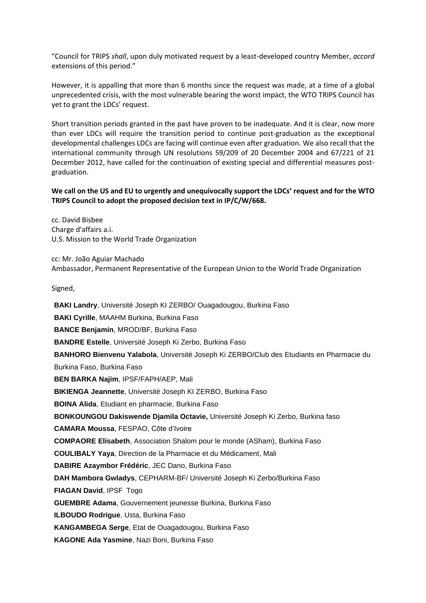"Council for TRIPS *shall*, upon duly motivated request by a least-developed country Member, *accord*  extensions of this period."

However, it is appalling that more than 6 months since the request was made, at a time of a global unprecedented crisis, with the most vulnerable bearing the worst impact, the WTO TRIPS Council has yet to grant the LDCs' request.

Short transition periods granted in the past have proven to be inadequate. And it is clear, now more than ever LDCs will require the transition period to continue post-graduation as the exceptional developmental challenges LDCs are facing will continue even after graduation. We also recall that the international community through UN resolutions 59/209 of 20 December 2004 and 67/221 of 21 December 2012, have called for the continuation of existing special and differential measures postgraduation.

## **We call on the US and EU to urgently and unequivocally support the LDCs' request and for the WTO TRIPS Council to adopt the proposed decision text in IP/C/W/668.**

cc. David Bisbee Charge d'affairs a.i. U.S. Mission to the World Trade Organization

cc: Mr. João Aguiar Machado

Ambassador, Permanent Representative of the European Union to the World Trade Organization

Signed,

**BAKI Landry**, Université Joseph KI ZERBO/ Ouagadougou, Burkina Faso **BAKI Cyrille**, MAAHM Burkina, Burkina Faso **BANCE Benjamin**, MROD/BF, Burkina Faso **BANDRE Estelle**, Université Joseph Ki Zerbo, Burkina Faso **BANHORO Bienvenu Yalabola**, Université Joseph Ki ZERBO/Club des Etudiants en Pharmacie du Burkina Faso, Burkina Faso **BEN BARKA Najim**, IPSF/FAPH/AEP, Mali **BIKIENGA Jeannette**, Université Joseph KI ZERBO, Burkina Faso **BOINA Alida**, Etudiant en pharmacie, Burkina Faso **BONKOUNGOU Dakiswende Djamila Octavie,** Université Joseph Ki Zerbo, Burkina faso **CAMARA Moussa**, FESPAO, Côte d'Ivoire **COMPAORE Elisabeth**, Association Shalom pour le monde (ASham), Burkina Faso **COULIBALY Yaya**, Direction de la Pharmacie et du Médicament, Mali **DABIRE Azaymbor Frédéric**, JEC Dano, Burkina Faso **DAH Mambora Gwladys**, CEPHARM-BF/ Université Joseph Ki Zerbo/Burkina Faso **FIAGAN David**, IPSF Togo **GUEMBRE Adama**, Gouvernement jeunesse Burkina, Burkina Faso **ILBOUDO Rodrigue**, Usta, Burkina Faso **KANGAMBEGA Serge**, Etat de Ouagadougou, Burkina Faso **KAGONE Ada Yasmine**, Nazi Boni, Burkina Faso